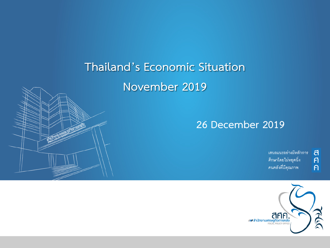# **Thailand's Economic Situation**

## **November 2019**

#### **26 December 2019**

้เสนอแนะอย่างมีหลักการ ศึกษาโดยไม่หยุดนิ่ง คนคลังที่มีคุณภาพ

ิ<br>ศิ

 $\overline{P}$ 

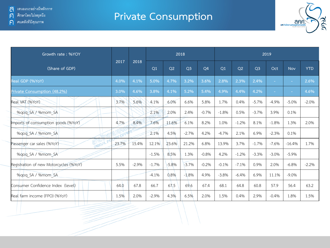#### **Private Consumption**



| Growth rate: %YOY                      |       | 2018    |                |         | 2018           |         |         |         |                | 2019    |            |            |
|----------------------------------------|-------|---------|----------------|---------|----------------|---------|---------|---------|----------------|---------|------------|------------|
| (Share of GDP)                         | 2017  |         | O <sub>1</sub> | Q2      | Q <sub>3</sub> | Q4      | Q1      | Q2      | Q <sub>3</sub> | Oct     | <b>Nov</b> | <b>YTD</b> |
| Real GDP (%YoY)                        | 4.0%  | 4.1%    | 5.0%           | 4.7%    | 3.2%           | 3.6%    | 2.8%    | 2.3%    | 2.4%           | ÷.      | $\sim$     | 2.6%       |
| Private Consumption (48.2%)            | 3.0%  | 4.6%    | 3.8%           | 4.1%    | 5.2%           | 5.4%    | 4.9%    | 4.4%    | 4.2%           | $\sim$  | $\sim$     | 4.6%       |
| Real VAT (%YoY)                        | 3.7%  | 5.6%    | 4.1%           | 6.0%    | 6.6%           | 5.8%    | 1.7%    | 0.4%    | $-5.7%$        | $-4.9%$ | $-5.0%$    | $-2.0%$    |
| %gog SA / %mom SA                      |       |         | 2.1%           | 2.0%    | 2.4%           | $-0.7%$ | $-1.8%$ | 0.5%    | $-3.7%$        | 3.9%    | 0.1%       |            |
| Imports of consumption goods (%YoY)    | 4.7%  | 8.4%    | 7.6%           | 11.6%   | 6.1%           | 8.2%    | 1.0%    | $-1.2%$ | 8.1%           | $-1.8%$ | 1.3%       | 2.0%       |
| %gog SA / %mom SA                      |       |         | 2.1%           | 4.5%    | $-2.7%$        | 4.2%    | $-4.7%$ | 2.1%    | 6.9%           | $-2.3%$ | 0.1%       |            |
| Passenger car sales (%YoY)             | 23.7% | 15.4%   | 12.1%          | 23.6%   | 21.2%          | 6.8%    | 13.9%   | 3.7%    | $-1.7%$        | $-7.6%$ | $-16.4%$   | 1.7%       |
| %gog SA / %mom SA                      |       |         | $-1.5%$        | 8.5%    | 1.3%           | $-0.8%$ | 4.2%    | $-1.2%$ | $-3.3%$        | $-3.0%$ | $-5.9%$    |            |
| Registration of new Motorcycles (%YoY) | 5.5%  | $-2.9%$ | $-1.7%$        | $-5.8%$ | $-3.7%$        | $-0.2%$ | $-0.1%$ | $-7.1%$ | 0.9%           | 2.0%    | $-6.8%$    | $-2.2%$    |
| %qoq SA / %mom SA                      |       |         | $-4.1%$        | 0.8%    | $-1.8%$        | 4.9%    | $-3.8%$ | $-6.4%$ | 6.9%           | 11.1%   | $-9.0%$    |            |
| Consumer Confidence Index (level)      | 64.0  | 67.8    | 66.7           | 67.5    | 69.6           | 67.4    | 68.1    | 64.8    | 60.8           | 57.9    | 56.4       | 63.2       |
| Real farm income (FPO) (%YoY)          | 1.5%  | 2.0%    | $-2.9%$        | 4.3%    | 6.5%           | 2.0%    | 1.5%    | 0.4%    | 2.9%           | $-0.4%$ | 1.8%       | 1.5%       |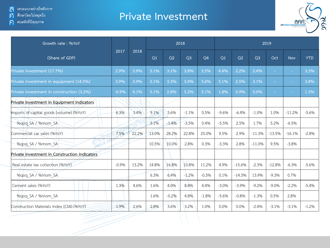ค**ิด** คนคลังที่มีคุณภาพ

#### **Private Investment**



| Growth rate: %YoY                             |         |       |                |         | 2018           |                | 2019    |          |                |                          |            |            |  |
|-----------------------------------------------|---------|-------|----------------|---------|----------------|----------------|---------|----------|----------------|--------------------------|------------|------------|--|
| (Share of GDP)                                | 2017    | 2018  | O <sub>1</sub> | Q2      | Q <sub>3</sub> | O <sub>4</sub> | Q1      | Q2       | Q <sub>3</sub> | Oct                      | <b>Nov</b> | <b>YTD</b> |  |
| Private investment (17.7%)                    | 2.9%    | 3.9%  | 3.1%           | 3.1%    | 3.8%           | 5.5%           | 4.4%    | 2.2%     | 2.4%           | ÷.                       | $\sim$     | 3.3%       |  |
| Private investment in equipment (14.5%)       | 3.9%    | 3.9%  | 3.1%           | 3.3%    | 3.4%           | 5.6%           | 5.1%    | 2.5%     | 3.1%           | $\sim$                   | $\sim$     | 3.8%       |  |
| Private investment in construction (3.2%)     | $-0.9%$ | 4.1%  | 3.1%           | 2.8%    | 5.2%           | 5.1%           | 1.8%    | 0.9%     | 0.0%           | $\overline{\phantom{a}}$ | $\sim$     | 1.3%       |  |
| Private Investment in Equipment Indicators    |         |       |                |         |                |                |         |          |                |                          |            |            |  |
| Imports of capital goods (volume) (%YoY)      | 6.3%    | 3.4%  | 9.1%           | 5.6%    | $-1.1%$        | 0.5%           | $-9.6%$ | $-6.4%$  | $-1.0%$        | 1.0%                     | $-11.2%$   | $-5.6%$    |  |
| %qoq SA / %mom SA                             |         |       | 5.1%           | $-1.4%$ | $-3.5%$        | 0.4%           | $-5.5%$ | 2.5%     | 1.7%           | 5.2%                     | $-6.5%$    |            |  |
| Commercial car sales (%YoY)                   | 7.5%    | 22.2% | 13.0%          | 28.2%   | 22.8%          | 25.0%          | 9.5%    | 2.9%     | $-11.3%$       | $-13.5%$                 | $-16.1%$   | $-2.8%$    |  |
| %gog SA / %mom SA                             |         |       | 10.5%          | 10.0%   | 2.8%           | 0.3%           | $-3.3%$ | 2.8%     | $-11.0%$       | 9.5%                     | $-3.8%$    |            |  |
| Private Investment in Construction Indicators |         |       |                |         |                |                |         |          |                |                          |            |            |  |
| Real estate tax collection (%YoY)             | $-0.9%$ | 13.2% | 14.8%          | 16.8%   | 10.8%          | 11.2%          | 4.9%    | $-15.6%$ | $-2.3%$        | $-12.8%$                 | $-6.3%$    | $-5.6%$    |  |
| %gog SA / %mom SA                             |         |       | 6.3%           | 6.4%    | $-1.2%$        | $-0.3%$        | 0.1%    | $-14.3%$ | 13.9%          | $-9.3%$                  | 0.7%       |            |  |
| Cement sales (%YoY)                           | 1.3%    | 4.6%  | 1.6%           | 4.0%    | 8.8%           | 4.4%           | $-3.0%$ | $-3.9%$  | $-9.2%$        | $-9.0\%$                 | $-2.2%$    | $-5.4%$    |  |
| %gog SA / %mom SA                             |         |       | 1.6%           | $-0.2%$ | 4.8%           | $-1.8%$        | $-5.6%$ | $-0.8%$  | $-1.3%$        | 0.5%                     | 2.8%       |            |  |
| Construction Materials Index (CMI) (%YoY)     | 1.9%    | 2.6%  | 2.8%           | 3.6%    | 3.2%           | 1.0%           | 0.0%    | 0.0%     | $-2.4%$        | $-3.1%$                  | $-3.1%$    | $-1.2%$    |  |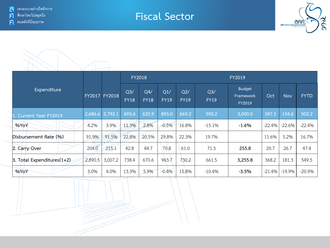



|                               |                   |               | <b>FY2018</b>                 |                    |                    |                    | <b>FY2019</b>                 |                                      |           |            |             |  |  |
|-------------------------------|-------------------|---------------|-------------------------------|--------------------|--------------------|--------------------|-------------------------------|--------------------------------------|-----------|------------|-------------|--|--|
| Expenditure                   |                   | FY2017 FY2018 | Q <sub>3</sub><br><b>FY18</b> | Q4/<br><b>FY18</b> | Q1/<br><b>FY19</b> | Q2/<br><b>FY19</b> | Q <sub>3</sub><br><b>FY19</b> | <b>Budget</b><br>Framework<br>FY2019 | Oct       | <b>Nov</b> | <b>FYTD</b> |  |  |
| 1. Current Year FY2019        | $2,686.6$ 2,792.1 |               | 695.6                         | 625.9              | 893.0              | 669.2              | 590.2                         | 3,000.0                              | 347.5     | 154.6      | 502.2       |  |  |
| %YoY                          | 4.2%              | 3.9%          | 11.3%                         | 2.8%               | $-0.5%$            | 16.8%              | $-15.1%$                      | $-1.6%$                              | $-22.4\%$ | -22.6%     | $-22.4%$    |  |  |
| Disbursement Rate (%)         | 91.9%             | 91.5%         | 22.8%                         | 20.5%              | 29.8%              | 22.3%              | 19.7%                         |                                      | 11.6%     | 5.2%       | 16.7%       |  |  |
| 2. Carry Over                 | رب<br>204.0       | 215.1         | 42.8                          | 44.7               | 70.8               | 61.0               | 71.3                          | 255.8                                | 20.7      | 26.7       | 47.4        |  |  |
| 3. Total Expenditures $(1+2)$ | 2,890.5           | 3,007.2       | 738.4                         | 670.6              | 963.7              | 730.2              | 661.5                         | 3,255.8                              | 368.2     | 181.3      | 549.5       |  |  |
| %YoY                          | 3.0%              | 4.0%          | 13.3%                         | 5.9%               | $-0.4%$            | 15.8%              | $-10.4%$                      | $-3.5%$                              | $-21.4\%$ | $-19.9%$   | $-20.9%$    |  |  |

**Fiscal Sector**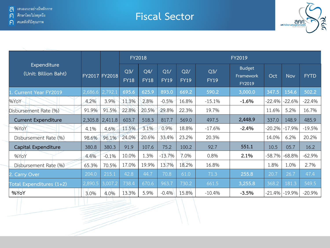#### **Fiscal Sector**



|                                     |         |               | <b>FY2018</b>      |                    |                    |                    |                    | <b>FY2019</b>                        |           |            |             |  |  |
|-------------------------------------|---------|---------------|--------------------|--------------------|--------------------|--------------------|--------------------|--------------------------------------|-----------|------------|-------------|--|--|
| Expenditure<br>(Unit: Billion Baht) |         | FY2017 FY2018 | Q3/<br><b>FY18</b> | Q4/<br><b>FY18</b> | Q1/<br><b>FY19</b> | Q2/<br><b>FY19</b> | Q3/<br><b>FY19</b> | <b>Budget</b><br>Framework<br>FY2019 | Oct       | <b>Nov</b> | <b>FYTD</b> |  |  |
| <b>Current Year FY2019</b>          | 2,686.6 | 2,792.1       | 695.6              | 625.9              | 893.0              | 669.2              | 590.2              | 3,000.0                              | 347.5     | 154.6      | 502.2       |  |  |
| %YoY                                | 4.2%    | 3.9%          | 11.3%              | 2.8%               | $-0.5%$            | 16.8%              | $-15.1%$           | $-1.6%$                              | $-22.4%$  | $-22.6\%$  | $-22.4%$    |  |  |
| Disbursement Rate (%)               | 91.9%   | 91.5%         | 22.8%              | 20.5%              | 29.8%              | 22.3%              | 19.7%              |                                      | 11.6%     | 5.2%       | 16.7%       |  |  |
| <b>Current Expenditure</b>          | 2,305.8 | 2,411.8       | 603.7              | 518.3              | 817.7              | 569.0              | 497.5              | 2,448.9                              | 337.0     | 148.9      | 485.9       |  |  |
| %YoY                                | 4.1%    | 4.6%          | 11.5%              | 3.1%               | 0.9%               | 18.8%              | $-17.6%$           | $-2.4%$                              | $-20.2\%$ | $-17.9%$   | $-19.5%$    |  |  |
| Disbursement Rate (%)               | 98.6%   | 96.1%         | 24.0%              | 20.6%              | 33.4%              | 23.2%              | 20.3%              |                                      | 14.0%     | 6.2%       | 20.2%       |  |  |
| Capital Expenditure                 | 380.8   | 380.3         | 91.9               | 107.6              | 75.2               | 100.2              | 92.7               | 551.1                                | 10.5      | 05.7       | 16.2        |  |  |
| %YoY                                | 4.4%    | $-0.1%$       | 10.0%              | 1.3%               | $-13.7%$           | 7.0%               | 0.8%               | 2.1%                                 | -58.7%    | $-68.8\%$  | $-62.9%$    |  |  |
| Disbursement Rate (%)               | 65.3%   | 70.5%         | 17.0%              | 19.9%              | 13.7%              | 18.2%              | 16.8%              |                                      | 1.8%      | 1.0%       | 2.7%        |  |  |
| 2. Carry Over                       | 204.0   | 215.1         | 42.8               | 44.7               | 70.8               | 61.0               | 71.3               | 255.8                                | 20.7      | 26.7       | 47.4        |  |  |
| Total Expenditures (1+2)            | 2,890.5 | 3,007.2       | 738.4              | 670.6              | 963.7              | 730.2              | 661.5              | 3,255.8                              | 368.2     | 181.3      | 549.5       |  |  |
| %YoY                                | 3.0%    | 4.0%          | 13.3%              | 5.9%               | $-0.4%$            | 15.8%              | $-10.4%$           | $-3.5%$                              | -21.4%    | $-19.9%$   | $-20.9%$    |  |  |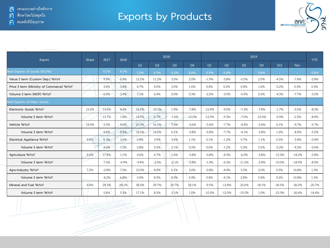## **Exports by Products**



| Export                                    | Share | 2017    |         | 2018<br>2018 |                |                |          |          | 2019     |                |           |          |            |            |  |
|-------------------------------------------|-------|---------|---------|--------------|----------------|----------------|----------|----------|----------|----------------|-----------|----------|------------|------------|--|
|                                           |       |         |         | Q1           | O <sub>2</sub> | Q <sub>3</sub> | Q4       | Q1       | Q2       | Q <sub>3</sub> | <b>O4</b> | Oct      | <b>Nov</b> | <b>YTD</b> |  |
| Real Exports of Goods (56.0%)             |       | 4.1%    | 4.1%    | 7.2%         | 9.5%           | $-0.5%$        | 0.8%     | $-5.9%$  | $-5.8%$  | a.             | 0.8%      | $\sim$   | $\sim$     | $-5.8%$    |  |
| Value \$ term (Custom Dep.) %YoY          |       | 9.9%    | 6.9%    | 12.2%        | 11.2%          | 3.0%           | 2.0%     | $-1.9%$  | $-3.8%$  | $-0.5%$        | 2.0%      | $-4.5%$  | $-7.4%$    | $-2.8%$    |  |
| Price \$ term (Ministry of Commerce) %YoY |       | 3.6%    | 3.4%    | 4.7%         | 4.5%           | 3.0%           | 1.6%     | 0.4%     | 0.2%     | 0.4%           | 1.6%      | $-0.2%$  | 0.3%       | 0.3%       |  |
| Volume \$ term (MOF) %YoY                 |       | 6.0%    | 3.4%    | 7.1%         | 6.4%           | 0.0%           | 0.3%     | $-2.2%$  | $-3.9%$  | $-0.9%$        | 0.3%      | $-4.3%$  | $-7.7%$    | $-3.0%$    |  |
| Real Exports of Major Goods               |       |         |         |              |                |                |          |          |          |                |           |          |            |            |  |
| Electronic Goods %YoY                     | 15.2% | 13.6%   | 4.4%    | 16.5%        | 10.1%          | 1.9%           | $-7.8%$  | $-12.4%$ | $-9.0%$  | $-7.3%$        | $-7.8%$   | $-1.7%$  | $-3.5%$    | $-8.3%$    |  |
| Volume \$ term %YoY                       |       | 13.7%   | 1.8%    | 14.0%        | 6.7%           | $-1.0%$        | $-10.0%$ | $-13.5%$ | $-9.3%$  | $-7.0%$        | $-10.0%$  | $-0.9%$  | $-2.5%$    | $-8.4%$    |  |
| Vehicle %YoY                              | 14.9% | 5.5%    | 9.6%    | 20.3%        | 16.3%          | 7.5%           | $-3.6%$  | $-5.6%$  | $-7.7%$  | $-4.4%$        | $-3.6%$   | 0.1%     | $-9.7%$    | $-5.7%$    |  |
| Volume \$ term %YoY                       |       | 4.6%    | 8.4%    | 18.5%        | 14.5%          | 6.1%           | $-3.8%$  | $-5.8%$  | $-7.7%$  | $-4.1%$        | $-3.8%$   | 1.2%     | $-8.9%$    | $-5.5%$    |  |
| Electrical Appliance %YoY                 | 9.6%  | 6.3%    | 3.6%    | 5.8%         | 3.9%           | 3.6%           | 1.1%     | 0.1%     | $-1.2%$  | 0.7%           | 1.1%      | 0.5%     | $-3.4%$    | $-0.4%$    |  |
| Volume \$ term %YoY                       |       | 4.0%    | 1.0%    | 0.8%         | 0.5%           | 2.1%           | 0.5%     | 0.0%     | $-1.2%$  | 0.3%           | 0.5%      | $-0.2%$  | $-4.3%$    | $-0.6%$    |  |
| Agriculture %YoY                          | 9.2%  | 17.8%   | 1.1%    | 0.6%         | 6.7%           | 1.6%           | $-3.8%$  | $-0.8%$  | $-4.3%$  | $-6.0%$        | $-3.8%$   | $-15.3%$ | $-14.2%$   | $-5.8%$    |  |
| Volume \$ term %YoY                       |       | 7.3%    | $-4.9%$ | $-9.4%$      | $-2.0%$        | $-2.1%$        | $-5.8%$  | $-1.9%$  | $-6.3%$  | $-11.2%$       | $-5.8%$   | $-19.0%$ | $-18.9%$   | $-8.9%$    |  |
| Agro-Industry %YoY                        | 7.2%  | $-0.8%$ | 7.0%    | 10.0%        | 9.2%           | 6.1%           | 3.0%     | $-0.8%$  | $-4.4%$  | 3.3%           | 3.0%      | 9.5%     | 10.8%      | 1.3%       |  |
| Volume \$ term %YoY                       |       | $-8.2%$ | 6.8%    | 5.4%         | 8.3%           | 8.0%           | 5.4%     | 0.4%     | $-4.1%$  | 2.8%           | 5.4%      | 9.2%     | 10.8%      | 1.5%       |  |
| Mineral and Fuel %YoY                     | 4.4%  | 29.3%   | 28.1%   | 38.3%        | 29.7%          | 29.7%          | 18.1%    | $-9.5%$  | $-13.8%$ | $-25.6%$       | 18.1%     | $-34.5%$ | $-36.0%$   | $-20.7%$   |  |
| Volume \$ term %YoY                       |       | 5.6%    | 5.3%    | 17.1%        | 8.3%           | $-2.1%$        | 1.0%     | $-10.5%$ | $-12.0%$ | $-19.2%$       | 1.0%      | $-23.3%$ | $-30.6%$   | $-16.6%$   |  |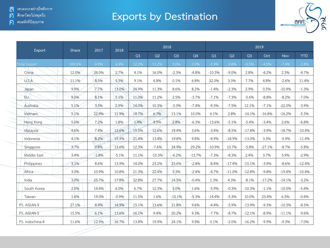### **Exports by Destination**



| Export              | Share  | 2017    | 2018    | 2018  |          |                |                | 2019     |          |                |          |            |            |  |
|---------------------|--------|---------|---------|-------|----------|----------------|----------------|----------|----------|----------------|----------|------------|------------|--|
|                     |        |         |         | Q1    | Q2       | Q <sub>3</sub> | Q <sub>4</sub> | Q1       | Q2       | Q <sub>3</sub> | Oct      | <b>Nov</b> | <b>YTD</b> |  |
| <b>Total Export</b> | 100.0% | 9.9%    | 6.9%    | 12.2% | 11.2%    | 3.0%           | 2.0%           | $-1.9%$  | $-3.8%$  | $-0.5%$        | $-4.5%$  | $-7.4%$    | $-2.8%$    |  |
| China               | 12.0%  | 24.0%   | 2.7%    | 4.1%  | 16.0%    | $-2.3%$        | $-4.8%$        | $-10.3%$ | $-9.0%$  | 2.8%           | $-4.2%$  | 2.3%       | $-4.7%$    |  |
| U.S.A               | 11.1%  | 8.5%    | 5.5%    | 9.1%  | 6.8%     | 0.1%           | 6.8%           | 32.0%    | 3.3%     | 7.7%           | 4.8%     | $-2.6%$    | 11.4%      |  |
| Japan               | 9.9%   | 7.7%    | 13.0%   | 24.9% | 11.3%    | 8.6%           | 8.2%           | $-1.4%$  | $-2.3%$  | 2.9%           | 0.5%     | $-10.9%$   | $-1.3%$    |  |
| EU.                 | 9.0%   | 8.1%    | 5.1%    | 11.0% | 11.2%    | 2.5%           | $-3.7%$        | $-7.1%$  | $-7.3%$  | $-5.6%$        | $-8.8%$  | $-8.2%$    | $-7.0%$    |  |
| Australia           | 5.1%   | 3.5%    | 2.9%    | 14.0% | 10.3%    | $-3.3%$        | $-7.4%$        | $-9.3%$  | $-7.5%$  | 12.1%          | $-7.1%$  | $-22.0%$   | $-3.9%$    |  |
| Vietnam             | 5.1%   | 22.9%   | 11.9%   | 18.7% | 6.7%     | 13.1%          | 10.0%          | 6.1%     | 2.8%     | $-14.1%$       | $-16.8%$ | $-16.2%$   | $-5.3%$    |  |
| Hong Kong           | 5.0%   | 7.2%    | 1.8%    | 1.4%  | 9.5%     | 2.8%           | $-6.3%$        | $-13.6%$ | $-5.1%$  | $-5.4%$        | $-3.4%$  | 2.6%       | $-6.8%$    |  |
| Malaysia            | 4.6%   | 7.4%    | 12.6%   | 15.5% | 12.6%    | 19.4%          | 3.6%           | $-3.4%$  | $-8.5%$  | $-17.8%$       | $-3.9%$  | $-18.7%$   | $-10.4%$   |  |
| Indonesia           | 4.1%   | 8.2%    | 15.9%   | 21.4% | 13.4%    | 19.4%          | 9.8%           | $-8.9%$  | $-18.9%$ | $-13.0%$       | 3.3%     | $-5.9%$    | $-11.4%$   |  |
| Singapore           | 3.7%   | 0.8%    | 13.6%   | 12.3% | $-7.6%$  | 24.9%          | 29.2%          | $-10.9%$ | 10.7%    | $-5.8%$        | $-27.1%$ | $-8.7%$    | $-5.8%$    |  |
| Middle East         | 3.4%   | $-1.8%$ | $-5.1%$ | 11.1% | $-10.3%$ | $-6.2%$        | $-13.7%$       | $-7.3%$  | $-8.3%$  | 2.4%           | 3.7%     | 5.9%       | $-2.9%$    |  |
| Philippines         | 3.1%   | 8.6%    | 13.9%   | 14.0% | 23.2%    | 23.6%          | $-2.8%$        | $-8.4%$  | $-17.4%$ | $-15.1%$       | $-3.9%$  | $-8.6%$    | $-12.4%$   |  |
| Africa              | 3.0%   | 10.9%   | 10.8%   | 21.3% | 22.4%    | 5.3%           | $-2.4%$        | $-4.7%$  | $-11.0%$ | $-12.8%$       | $-9.8%$  | $-19.4%$   | $-10.4%$   |  |
| India               | 3.0%   | 25.7%   | 17.8%   | 32.8% | 27.7%    | 14.3%          | $-0.4%$        | 1.3%     | 4.3%     | $-8.1%$        | $-17.2%$ | $-14.1%$   | $-3.2%$    |  |
| South Korea         | 2.0%   | 14.4%   | 6.0%    | 6.7%  | 12.3%    | 3.0%           | 1.6%           | $-5.9%$  | $-0.3%$  | $-10.3%$       | $-1.1%$  | $-10.0%$   | $-5.4%$    |  |
| Taiwan              | 1.6%   | 19.0%   | $-0.9%$ | 11.5% | 1.6%     | $-10.1%$       | $-5.3%$        | $-14.4%$ | $-5.3%$  | 10.0%          | 23.4%    | 6.5%       | $-0.4%$    |  |
| PS. ASEAN-9         | 27.1%  | 8.9%    | 14.9%   | 15.1% | 13.6%    | 21.8%          | 9.6%           | $-4.4%$  | $-5.9%$  | $-13.9%$       | $-9.3%$  | $-10.3%$   | $-8.5%$    |  |
| PS. ASEAN-5         | 15.5%  | 6.1%    | 13.6%   | 16.1% | 9.4%     | 20.2%          | 9.3%           | $-7.7%$  | $-8.7%$  | $-12.1%$       | $-8.9%$  | $-11.1%$   | $-9.6%$    |  |
| PS. Indochina-4     | 11.6%  | 12.9%   | 16.7%   | 13.8% | 19.9%    | 24.1%          | 9.9%           | 0.1%     | $-2.0%$  | $-16.2%$       | $-9.9%$  | $-9.3%$    | $-7.0%$    |  |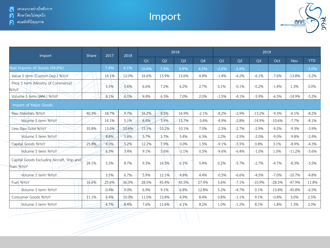### **Import**



| Import                                                   | <b>Share</b> | 2017  | 2018  |                |       | 2018           |                |         |         | 2019           |          |          |            |
|----------------------------------------------------------|--------------|-------|-------|----------------|-------|----------------|----------------|---------|---------|----------------|----------|----------|------------|
|                                                          |              |       |       | O <sub>1</sub> | Q2    | Q <sub>3</sub> | Q <sub>4</sub> | Q1      | Q2      | Q <sub>3</sub> | Oct      | Nov      | <b>YTD</b> |
| Real Imports of Goods (49.8%)                            |              | 7.4%  | 8.1%  | 10.4%          | 7.9%  | 9.9%           | 4.5%           | $-2.6%$ | $-3.4%$ | ÷.             |          | ÷        | $-3.0%$    |
| Value \$ term (Custom Dep.) %YoY                         |              | 14.1% | 12.0% | 16.6%          | 13.9% | 13.6%          | 4.8%           | $-1.4%$ | $-4.2%$ | $-6.1%$        | $-7.6%$  | $-13.8%$ | $-5.2%$    |
| Price \$ term (Ministry of Commerce)<br>%YoY             |              | 5.5%  | 5.6%  | 6.6%           | 7.2%  | 6.2%           | 2.7%           | 0.1%    | $-0.1%$ | $-0.2%$        | $-1.4%$  | 1.3%     | 0.0%       |
| Volume \$ term (ann.) %YoY                               |              | 8.1%  | 6.1%  | 9.4%           | 6.3%  | 7.0%           | 2.0%           | $-1.5%$ | $-4.1%$ | $-5.9%$        | $-6.3%$  | $-14.9%$ | $-5.2%$    |
| <b>Import of Major Goods</b>                             |              |       |       |                |       |                |                |         |         |                |          |          |            |
| Raw Materials %YoY                                       | 40.3%        | 18.7% | 9.7%  | 16.2%          | 8.5%  | 16.9%          | $-2.1%$        | $-8.2%$ | $-2.9%$ | $-13.2%$       | $-9.3%$  | $-6.1%$  | $-8.2%$    |
| Volume \$ term %YoY                                      |              | 14.1% | 5.1%  | 6.4%           | 3.9%  | 13.7%          | $-3.4%$        | $-4.9%$ | $-2.8%$ | $-14.9%$       | $-10.6%$ | $-7.7%$  | $-8.1%$    |
| Less Raw Gold %YoY                                       | 35.8%        | 13.0% | 10.6% | 15.5%          | 10.2% | 10.1%          | 7.0%           | $-2.3%$ | $-2.7%$ | $-2.9%$        | $-9.2%$  | $-9.3%$  | $-3.9%$    |
| Volume \$ term %YoY                                      |              | 8.8%  | 5.8%  | 5.7%           | 5.7%  | 5.4%           | 6.3%           | 2.2%    | $-2.5%$ | $-2.0%$        | $-9.0%$  | $-9.8%$  | $-2.4%$    |
| Capital Goods %YoY                                       | 25.8%        | 8.0%  | 5.2%  | 12.2%          | 7.9%  | 0.0%           | 1.5%           | $-9.1%$ | $-5.5%$ | 0.8%           | 3.1%     | $-8.9%$  | $-4.3%$    |
| Volume \$ term %YoY                                      |              | 6.3%  | 3.4%  | 9.1%           | 5.6%  | $-1.1%$        | 0.5%           | $-9.6%$ | $-6.4%$ | $-1.0%$        | 1.0%     | $-11.2%$ | $-5.6%$    |
| Capital Goods Excluding Aircraft, Ship and<br>Train %YoY | 24.1%        | 5.3%  | 8.7%  | 9.3%           | 14.5% | 6.1%           | 5.4%           | 0.2%    | $-5.7%$ | $-2.7%$        | $-4.7%$  | $-8.3%$  | $-3.5%$    |
| Volume \$ term %YoY                                      |              | 3.5%  | 6.7%  | 5.9%           | 12.1% | 4.8%           | 4.4%           | $-0.3%$ | $-6.6%$ | $-4.5%$        | $-7.0%$  | $-10.7%$ | $-4.8%$    |
| Fuel %YoY                                                | 16.6%        | 25.6% | 36.3% | 28.5%          | 45.4% | 45.5%          | 27.4%          | 5.6%    | $-7.1%$ | $-10.9%$       | $-28.5%$ | $-47.9%$ | $-11.8%$   |
| Volume \$ term %YoY                                      |              | 0.4%  | 9.0%  | 6.9%           | 9.1%  | 6.8%           | 12.8%          | 5.2%    | $-4.7%$ | 0.1%           | $-13.8%$ | $-45.8%$ | $-6.5%$    |
| Consumer Goods %YoY                                      | 11.1%        | 6.4%  | 10.0% | 11.0%          | 13.8% | 6.9%           | 8.4%           | 0.8%    | $-1.1%$ | 9.1%           | $-0.8%$  | 3.0%     | 2.5%       |
| Volume \$ term %YoY                                      |              | 4.7%  | 8.4%  | 7.6%           | 11.6% | 6.1%           | 8.2%           | 1.0%    | $-1.2%$ | 8.1%           | $-1.8%$  | 1.3%     | 2.0%       |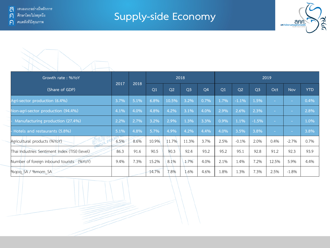## **Supply-side Economy**



| Growth rate: %YoY                              |      |      |       | 2018  |                |                |      |                |                | 2019   |         |            |
|------------------------------------------------|------|------|-------|-------|----------------|----------------|------|----------------|----------------|--------|---------|------------|
| (Share of GDP)                                 | 2017 | 2018 | Q1    | Q2    | Q <sub>3</sub> | Q <sub>4</sub> | Q1   | Q <sub>2</sub> | Q <sub>3</sub> | Oct    | Nov     | <b>YTD</b> |
| Agri-sector production (6.4%)                  | 3.7% | 5.1% | 6.8%  | 10.5% | 3.2%           | 0.7%           | 1.7% | $-1.1%$        | 1.5%           | $\sim$ | $\sim$  | 0.4%       |
| Non-agri-sector production (94.4%)             | 4.1% | 4.0% | 4.8%  | 4.2%  | 3.1%           | 4.0%           | 2.9% | 2.6%           | 2.3%           | $\sim$ | $\sim$  | 2.8%       |
| Manufacturing production (27.4%)               | 2.2% | 2.7% | 3.2%  | 2.9%  | 1.3%           | 3.3%           | 0.9% | 1.1%           | $-1.5%$        | $\sim$ | $\sim$  | 1.0%       |
| - Hotels and restaurants (5.8%)                | 5.1% | 4.8% | 5.7%  | 4.9%  | 4.2%           | 4.4%           | 4.0% | 3.5%           | 3.8%           | $\sim$ | $\sim$  | 3.8%       |
| Agricultural products (%YoY)                   | 6.5% | 8.6% | 10.9% | 11.7% | 11.3%          | 3.7%           | 2.5% | $-0.1%$        | 2.0%           | 0.4%   | $-2.7%$ | 0.7%       |
| Thai Industries Sentiment Index (TISI) (level) | 86.3 | 91.6 | 90.5  | 90.3  | 92.4           | 93.2           | 95.2 | 95.1           | 92.8           | 91.2   | 92.3    | 93.9       |
| Number of foreign inbound tourists (%YoY)      | 9.4% | 7.3% | 15.2% | 8.1%  | 1.7%           | 4.0%           | 2.1% | 1.4%           | 7.2%           | 12.5%  | 5.9%    | 4.4%       |
| %gog SA / %mom SA                              |      |      | 14.7% | 7.8%  | 1.6%           | 4.6%           | 1.8% | 1.3%           | 7.3%           | 2.5%   | $-1.8%$ |            |